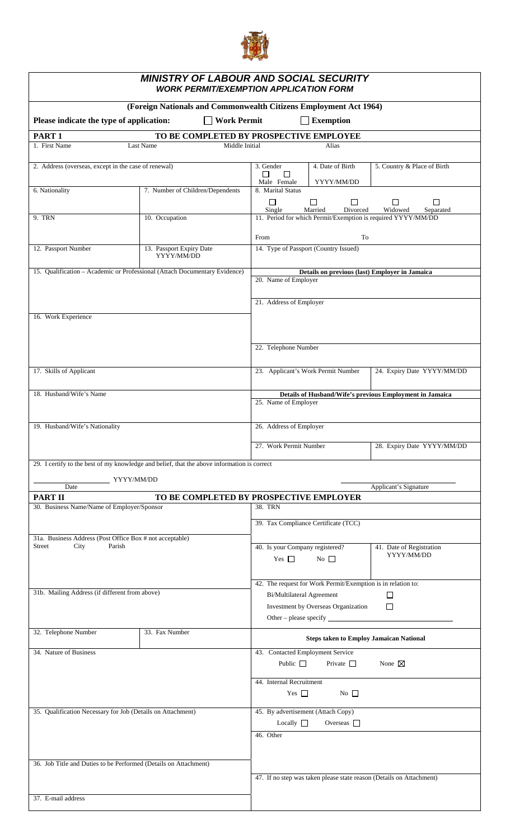

| <b>MINISTRY OF LABOUR AND SOCIAL SECURITY</b><br><b>WORK PERMIT/EXEMPTION APPLICATION FORM</b>   |                                                                                                |                                                                                          |                                                |                                                                      |  |  |  |  |  |
|--------------------------------------------------------------------------------------------------|------------------------------------------------------------------------------------------------|------------------------------------------------------------------------------------------|------------------------------------------------|----------------------------------------------------------------------|--|--|--|--|--|
| (Foreign Nationals and Commonwealth Citizens Employment Act 1964)                                |                                                                                                |                                                                                          |                                                |                                                                      |  |  |  |  |  |
| Please indicate the type of application:<br><b>Work Permit</b><br><b>Exemption</b>               |                                                                                                |                                                                                          |                                                |                                                                      |  |  |  |  |  |
| PART <sub>1</sub>                                                                                |                                                                                                |                                                                                          |                                                |                                                                      |  |  |  |  |  |
| TO BE COMPLETED BY PROSPECTIVE EMPLOYEE<br>1. First Name<br>Last Name<br>Middle Initial<br>Alias |                                                                                                |                                                                                          |                                                |                                                                      |  |  |  |  |  |
|                                                                                                  |                                                                                                |                                                                                          |                                                |                                                                      |  |  |  |  |  |
| 2. Address (overseas, except in the case of renewal)                                             |                                                                                                | 3. Gender<br>□<br>$\Box$<br>Male Female                                                  | 4. Date of Birth<br>YYYY/MM/DD                 | 5. Country & Place of Birth                                          |  |  |  |  |  |
| 6. Nationality                                                                                   | 7. Number of Children/Dependents                                                               | 8. Marital Status                                                                        |                                                |                                                                      |  |  |  |  |  |
|                                                                                                  |                                                                                                | □<br>□<br>$\Box$<br>$\Box$<br>ப<br>Single<br>Married<br>Divorced<br>Widowed<br>Separated |                                                |                                                                      |  |  |  |  |  |
| 9. TRN                                                                                           | 10. Occupation                                                                                 |                                                                                          |                                                | 11. Period for which Permit/Exemption is required YYYY/MM/DD         |  |  |  |  |  |
|                                                                                                  |                                                                                                | To<br>From                                                                               |                                                |                                                                      |  |  |  |  |  |
| 12. Passport Number                                                                              | 13. Passport Expiry Date                                                                       | 14. Type of Passport (Country Issued)                                                    |                                                |                                                                      |  |  |  |  |  |
|                                                                                                  | YYYY/MM/DD                                                                                     |                                                                                          |                                                |                                                                      |  |  |  |  |  |
| 15. Qualification - Academic or Professional (Attach Documentary Evidence)                       | Details on previous (last) Employer in Jamaica<br>20. Name of Employer                         |                                                                                          |                                                |                                                                      |  |  |  |  |  |
|                                                                                                  |                                                                                                |                                                                                          |                                                |                                                                      |  |  |  |  |  |
|                                                                                                  | 21. Address of Employer                                                                        |                                                                                          |                                                |                                                                      |  |  |  |  |  |
| 16. Work Experience                                                                              |                                                                                                |                                                                                          |                                                |                                                                      |  |  |  |  |  |
|                                                                                                  |                                                                                                |                                                                                          |                                                |                                                                      |  |  |  |  |  |
|                                                                                                  | 22. Telephone Number                                                                           |                                                                                          |                                                |                                                                      |  |  |  |  |  |
|                                                                                                  |                                                                                                |                                                                                          |                                                |                                                                      |  |  |  |  |  |
| 17. Skills of Applicant                                                                          | 24. Expiry Date YYYY/MM/DD<br>23. Applicant's Work Permit Number                               |                                                                                          |                                                |                                                                      |  |  |  |  |  |
|                                                                                                  |                                                                                                |                                                                                          |                                                |                                                                      |  |  |  |  |  |
| 18. Husband/Wife's Name                                                                          |                                                                                                | Details of Husband/Wife's previous Employment in Jamaica<br>25. Name of Employer         |                                                |                                                                      |  |  |  |  |  |
|                                                                                                  |                                                                                                |                                                                                          |                                                |                                                                      |  |  |  |  |  |
| 19. Husband/Wife's Nationality                                                                   |                                                                                                | 26. Address of Employer                                                                  |                                                |                                                                      |  |  |  |  |  |
|                                                                                                  |                                                                                                |                                                                                          |                                                |                                                                      |  |  |  |  |  |
|                                                                                                  |                                                                                                | 27. Work Permit Number<br>28. Expiry Date YYYY/MM/DD                                     |                                                |                                                                      |  |  |  |  |  |
|                                                                                                  | 29. I certify to the best of my knowledge and belief, that the above information is correct    |                                                                                          |                                                |                                                                      |  |  |  |  |  |
| YYYY/MM/DD                                                                                       |                                                                                                |                                                                                          |                                                |                                                                      |  |  |  |  |  |
| Date<br><b>PART II</b>                                                                           | TO BE COMPLETED BY PROSPECTIVE EMPLOYER                                                        |                                                                                          |                                                | Applicant's Signature                                                |  |  |  |  |  |
| 30. Business Name/Name of Employer/Sponsor                                                       |                                                                                                | 38. TRN                                                                                  |                                                |                                                                      |  |  |  |  |  |
|                                                                                                  | 39. Tax Compliance Certificate (TCC)                                                           |                                                                                          |                                                |                                                                      |  |  |  |  |  |
| 31a. Business Address (Post Office Box # not acceptable)                                         |                                                                                                |                                                                                          |                                                |                                                                      |  |  |  |  |  |
| City<br>Parish<br><b>Street</b>                                                                  |                                                                                                | 40. Is your Company registered?                                                          |                                                | 41. Date of Registration                                             |  |  |  |  |  |
|                                                                                                  |                                                                                                | Yes $\Box$                                                                               | No $\square$                                   | YYYY/MM/DD                                                           |  |  |  |  |  |
|                                                                                                  |                                                                                                |                                                                                          |                                                |                                                                      |  |  |  |  |  |
| 31b. Mailing Address (if different from above)                                                   | 42. The request for Work Permit/Exemption is in relation to:<br>Bi/Multilateral Agreement<br>□ |                                                                                          |                                                |                                                                      |  |  |  |  |  |
|                                                                                                  | Investment by Overseas Organization<br>$\Box$                                                  |                                                                                          |                                                |                                                                      |  |  |  |  |  |
|                                                                                                  |                                                                                                |                                                                                          |                                                |                                                                      |  |  |  |  |  |
| 32. Telephone Number                                                                             | 33. Fax Number                                                                                 |                                                                                          |                                                |                                                                      |  |  |  |  |  |
|                                                                                                  |                                                                                                |                                                                                          | <b>Steps taken to Employ Jamaican National</b> |                                                                      |  |  |  |  |  |
| 34. Nature of Business                                                                           |                                                                                                | 43. Contacted Employment Service<br>Public $\Box$<br>Private $\Box$<br>None $\boxtimes$  |                                                |                                                                      |  |  |  |  |  |
|                                                                                                  |                                                                                                |                                                                                          |                                                |                                                                      |  |  |  |  |  |
|                                                                                                  |                                                                                                | 44. Internal Recruitment                                                                 |                                                |                                                                      |  |  |  |  |  |
|                                                                                                  | Yes $\Box$<br>No $\Box$                                                                        |                                                                                          |                                                |                                                                      |  |  |  |  |  |
| 35. Qualification Necessary for Job (Details on Attachment)                                      | 45. By advertisement (Attach Copy)                                                             |                                                                                          |                                                |                                                                      |  |  |  |  |  |
|                                                                                                  |                                                                                                | Overseas $\Box$<br>Locally $\Box$                                                        |                                                |                                                                      |  |  |  |  |  |
|                                                                                                  |                                                                                                | 46. Other                                                                                |                                                |                                                                      |  |  |  |  |  |
|                                                                                                  |                                                                                                |                                                                                          |                                                |                                                                      |  |  |  |  |  |
| 36. Job Title and Duties to be Performed (Details on Attachment)                                 |                                                                                                |                                                                                          |                                                |                                                                      |  |  |  |  |  |
|                                                                                                  |                                                                                                |                                                                                          |                                                | 47. If no step was taken please state reason (Details on Attachment) |  |  |  |  |  |
| 37. E-mail address                                                                               |                                                                                                |                                                                                          |                                                |                                                                      |  |  |  |  |  |
|                                                                                                  |                                                                                                |                                                                                          |                                                |                                                                      |  |  |  |  |  |